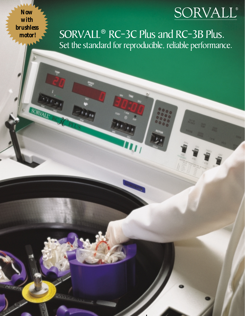# SORVALL®

*Now with brushless*

SORV

SORVALL<sup>®</sup> RC-3C Plus and RC-3B Plus. Set the standard for reproducible, reliable performance.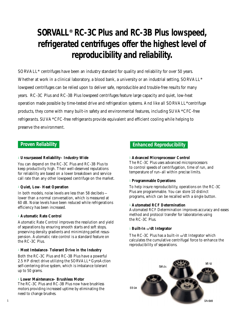# **SORVALL® RC-3C Plus and RC-3B Plus lowspeed, refrigerated centrifuges offer the highest level of reproducibility and reliability.**

SORVALL**®** centrifuges have been an industry standard for quality and reliability for over 50 years. Whether at work in a clinical laboratory, a blood bank, a university or an industrial setting, SORVALL**®** lowspeed centrifuges can be relied upon to deliver safe, reproducible and trouble-free results for many years. RC-3C Plus and RC-3B Plus lowspeed centrifuges feature large capacity and quiet, low-heat operation made possible by time-tested drive and refrigeration systems. And like all SORVALL**®** centrifuge products, they come with many built-in safety and environmental features, including SUVA**®** CFC-free refrigerants. SUVA**®** CFC-free refrigerants provide equivalent and efficient cooling while helping to preserve the environment.

### <sup>l</sup> **Unsurpassed Reliability– Industry**-**Wide**

You can depend on the RC-3C Plus and RC-3B Plus to keep productivity high. Their well-deserved reputations for reliability are based on a lower breakdown and service call rate than any other lowspeed centrifuge on the market.

### <sup>l</sup> **Quiet, Low**- **Heat Operation**

In both models, noise levels are less than 58 decibels – lower than a normal conversation, which is measured at 60 dB. Noise levels have been reduced while refrigerations efficiency has been increased.

### <sup>l</sup> **Automatic Rate Control**

Automatic Rate Control improves the resolution and yield of separations by ensuring smooth starts and soft stops, preserving density gradients and minimizing pellet resuspension. Automatic rate control is a standard feature on the RC-3C Plus.

### <sup>l</sup> **Most Imbalance**- **Tolerant Drive in the Industry**

Both the RC-3C Plus and RC-3B Plus have a powerful 2.5 HP direct drive utilizing the SORVALL**®** GyroAction self-centering drive system, which is imbalance tolerant up to 50 grams.

### <sup>l</sup> **Lower Maintenance– Brushless Motor**

The RC-3C Plus and RC-3B Plus now have brushless motors providing increased uptime by eliminating the need to change brushes.

### **Proven Reliability Enhanced Reproducibility**

### <sup>l</sup> **Advanced Microprocessor Control**

The RC-3C Plus uses advanced microprocessors to control speeds of centrifugation, time of run, and temperature of run–all within precise limits.

### <sup>l</sup> **Programmable Operations**

To help insure reproducibility, operations on the RC-3C Plus are programmable. You can store 10 distinct programs, which can be recalled with a single button.

### <sup>l</sup> **Automated RCF Determination**

Automated RCF Determination improves accuracy and eases method and protocol transfer for laboratories using the RC-3C Plus.

### **1 Built-In ω<sup>2</sup>dt Integrator**

The RC-3C Plus has a built-in  $\omega^2$ dt Integrator which calculates the cumulative centrifugal force to enhance the reproducibility of separations.

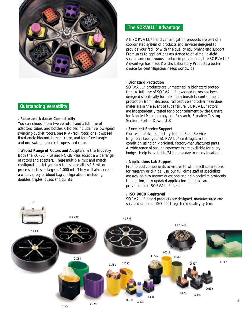

### **Outstanding Versatility**

HL-2B

### **Rotor and Adapter Compatiblity** l

You can choose from twelve rotors and a full line of adaptors, tubes, and bottles. Choices include five low-speed swinging-bucket rotors, one RIA-rack rotor, one lowspeed fixed-angle biocontainment rotor, and four fixed-angle and one swinging-bucket superspeed rotor.

### **Widest Range of Rotors and Adapters in the Industry** l

Both the RC-3C Plus and RC-3B Plus accept a wide range of rotors and adapters. These multiple, mix and match configurations let you spin tubes as small as 1.5 mL or process bottles as large as 1,000 mL. They will also accept a wide variety of blood bag configurations including doubles, triples, quads and quints.

### **The SORVALL**® **Advantage**

All SORVALL® brand centrifugation products are part of a coordinated system of products and services designed to provide your facility with the quality equipment and support. From sales to applications assistance to on-time, in-field service and continuous product improvements, the SORVALL® Advantage has made Kendro Laboratory Products a better choice for centrifugation needs worldwide

### **Biohazard Protection** l

SORVALL® products are unmatched in biohazard protection. A full line of SORVALL® lowspeed rotors has been designed specifically for maximum biosafety containment protection from infectious, radioactive and other hazardous materials in the event of tube failure. SORVALL® rotors are independently tested for biocontainment by the Centre for Applied Microbiology and Research, Biosafety Testing Section, Porton Down, U.K.

### **Excellent Service Support** l

Our team of skilled, factory-trained Field Service Engineers keep your SORVALL® centrfuges in top condition using only original, factory-manufactured parts. A wide range of service agreements are available for every budget. Help is available 24 hours a day in many locations.

### **Applications Lab Support** l

From blood components to viruses to whole cell separations for research or clinical use, our full-time staff of specialists are available to answer questions and help optimize protocols. In addition, new updated application materials are provided to all SORVALL® users.

### **ISO 9000 Registered** l

SORVALL® brand products are designed, manufactured and serviced under an ISO 9001 registered quality system.

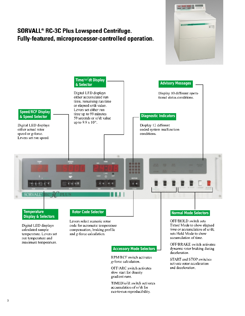## **SORVALL<sup>®</sup> RC-3C Plus Lowspeed Centrifuge.** Fully-featured, microprocessor-controlled operation.





TIMED/ω<sup>2</sup>dt switch activates accumulation of @2dt for run-to-run reproducibility.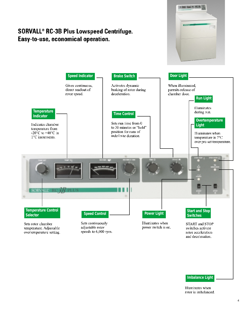# **A 222 Call 9: 9:**



**SORVALL® RC-3B Plus Lowspeed Centrifuge.** 

Easy-to-use, economical operation.

### **Imbalance Light**

Illuminates when rotor is imbalanced.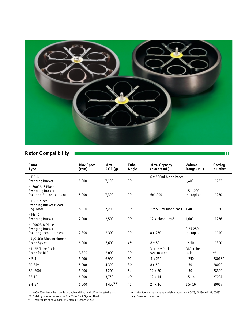

### **Rotor Compatibility**

| Rotor<br>Type                | <b>Max Speed</b><br>(rpm) | <b>Max</b><br>RCF(g) | <b>Tube</b><br>Angle | Max. Capacity<br>(place x mL) | <b>Volume</b><br>Range (mL) | Catalog<br><b>Number</b> |
|------------------------------|---------------------------|----------------------|----------------------|-------------------------------|-----------------------------|--------------------------|
| $HBB-6$                      |                           |                      |                      | 6 x 500ml blood bages         |                             |                          |
| <b>Swinging Bucket</b>       | 5.000                     | 7.100                | $90^\circ$           |                               | 1.400                       | 11753                    |
| H-6000A 6 Place              |                           |                      |                      |                               |                             |                          |
| Swing ing Bucket             |                           |                      |                      |                               | $1.5 - 1.000$               |                          |
| featuring Biocontainment     | 5,000                     | 7.300                | $90^\circ$           | 6x1.000                       | microplate                  | 11250                    |
| HLR 6-place                  |                           |                      |                      |                               |                             |                          |
| <b>Swinging Bucket Blood</b> |                           |                      |                      |                               |                             |                          |
| <b>Bag Rotor</b>             | 5,000                     | 7,200                | $90^\circ$           | 6 x 500ml blood bags          | 1,400                       | 11350                    |
| $Hb-12$                      |                           |                      |                      |                               |                             |                          |
| <b>Swinging Bucket</b>       | 2,900                     | 2,500                | $90^\circ$           | 12 x blood bags*              | 1,600                       | 11276                    |
| H-2000B 8-Place              |                           |                      |                      |                               |                             |                          |
| <b>Swinging Bucket</b>       |                           |                      |                      |                               | $0.25 - 250$                |                          |
| featuring iocontainment      | 2,800                     | 2,300                | $90^\circ$           | 8 x 250                       | microplate                  | 11140                    |
| LA/S-400 Biocontainment      |                           |                      |                      |                               |                             |                          |
| Rotor System                 | 6,000                     | 5.600                | $45^\circ$           | $8 \times 50$                 | $12 - 50$                   | 11800                    |
| HL-2B Tube Rack              |                           |                      |                      | Varies w/rack                 | RIA tube                    |                          |
| Rotor for RIA                | 3.300                     | 2,000                | $90^\circ$           | system used                   | racks                       | $***$                    |
| $HS-4$                       | 6,000                     | 6,900                | $90^{\circ}$         | $4 \times 250$                | $1 - 250$                   | $38018$ <sup>V</sup>     |
|                              |                           |                      |                      |                               |                             |                          |
| $SS-34$ †                    | 6,000                     | 4,300                | $34^{\circ}$         | 8 x 50                        | $1 - 50$                    | 28020                    |
| SA-600†                      | 6,000                     | 5,200                | $34^{0}$             | $12 \times 50$                | $1 - 50$                    | 28500                    |
| $SE-12$                      | 6.000                     | 3.750                | $40^{\circ}$         | $12 \times 14$                | $1.5 - 14$                  | 27004                    |
| $SM-24$                      | 6.000                     | 4,450                | $40^{\circ}$         | 24 x 16                       | $1.5 - 16$                  | 29017                    |

\*\* Catalog number depends on RIA Tube Rack System Used. ▼▼ Based on outer row.

5 † Requires use of drive adapter, Catalog Number 55222.

 $\blacktriangledown$  Has four carrier systems available separately: 00479, 00480, 00481, 00482.<br> $\blacktriangledown\blacktriangledown$  Based on outer row.

**TIII**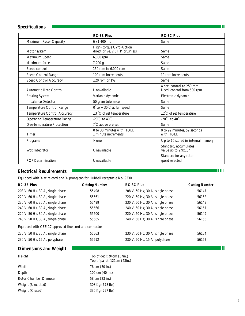### **Specifications**

|                                    | <b>RC-3B Plus</b>                                          | <b>RC-3C Plus</b>                                         |
|------------------------------------|------------------------------------------------------------|-----------------------------------------------------------|
| Maximum Rotor Capacity             | 6 x1,400 mL                                                | Same                                                      |
| Motor system                       | High-torque Gyro-Action<br>direct drive, 2.5 HP, brushless | Same                                                      |
| Maximum Speed                      | 6,000 rpm                                                  | Same                                                      |
| Maximum force                      | 7,200 g                                                    | Same                                                      |
| Speed control                      | 150 rpm to 6,000 rpm                                       | Same                                                      |
| Speed Control Range                | 100 rpm increments                                         | 10 rpm increments                                         |
| <b>Speed Control Accuracy</b>      | $\pm 20$ rpm or 1%                                         | Same                                                      |
| Automatic Rate Control             | Unavailable                                                | Accel control to 250 rpm<br>Decel control from 500 rpm    |
| <b>Braking System</b>              | Variable dynamic                                           | Electronic dynamic                                        |
| <b>Imbalance Detector</b>          | 50 gram tolerance                                          | Same                                                      |
| <b>Temperature Control Range</b>   | $0^\circ$ to $+$ $30^\circ\mathrm{C}$ at full speed        | Same                                                      |
| Temperature Control Accuracy       | $\pm 3$ °C of set temperature                              | $\pm 2^{\circ}$ C of set temperature                      |
| <b>Operating Temperature Range</b> | -20 $^{\circ}$ C to 40 $^{\circ}$ C                        | -20 $\overline{C}$ to 40 $\overline{C}$                   |
| <b>Overtemperature Protection</b>  | $7^{\circ}$ C above pre-set                                | Same                                                      |
| <b>Timer</b>                       | 0 to 30 minutes with HOLD<br>1 minute increments           | 0 to 99 minutes, 59 seconds<br>with HOLD                  |
| Programs                           | None                                                       | Up to 10 stored in internal memory                        |
| $\omega^2$ dt Integrator           | Unavailable                                                | Standard, accumulates<br>value up to 9.9x10 <sup>16</sup> |
| <b>RCF</b> Determination           | Unavailable                                                | Standard for any rotor<br>speed selected                  |

### **Electrical Requirements**

Equipped with 3- wire cord and 3- prong cap for Hubbell receptacle No. 9330

| <b>RC-3B Plus</b>                                     | <b>Catalog Number</b> | <b>RC-3C Plus</b>                  | <b>Catalog Number</b> |  |  |
|-------------------------------------------------------|-----------------------|------------------------------------|-----------------------|--|--|
| 208 V, 60 Hz, 30 A, single phase                      | 55498                 | 208 V, 60 Hz, 30 A, single phase   | 56147                 |  |  |
| 220 V, 60 Hz, 30 A, single phase                      | 55561                 | 220 V, 60 Hz, 30 A, single phase   | 56152                 |  |  |
| 230 V, 60 Hz, 30 A, single phase                      | 55499                 | 230 V, 60 Hz, 30 A, single phase   | 56148                 |  |  |
| 240 V, 60 Hz, 30 A, single phase                      | 55566                 | 240 V, 60 Hz, 30 A, single phase   | 56157                 |  |  |
| 220 V, 50 Hz, 30 A, single phase                      | 55500                 | 220 V, 50 Hz, 30 A, single phase   | 56149                 |  |  |
| 240 V, 50 Hz, 30 A, single phase                      | 55565                 | 240 V, 50 Hz, 30 A, single phase   | 56156                 |  |  |
| Equipped with CEE-17 approved line cord and connector |                       |                                    |                       |  |  |
| 230 V, 50 Hz, 30 A, single phase                      | 55563                 | $230$ V, 50 Hz, 30 A, single phase | 56154                 |  |  |
| 230 V, 50 Hz, 15 A, polyphase                         | 55592                 | 230 V, 50 Hz, 15 A, polyphase      | 56162                 |  |  |

### **Dimensions and Weight**

|--|

| Width                  |
|------------------------|
| Depth                  |
| Rotor Chamber Diameter |
| Weight (Uncrated)      |
| Weight (Crated)        |

Top of deck: 94cm (37in.) Top of panel: 121cm (48in.) 76 cm (30 in.) 102 cm (40 in.) 58 cm (23 in.) 308 Kg (678 lbs) 330 Kg (727 lbs)

**TITIN** 

**TETHE** 

**TIIII**